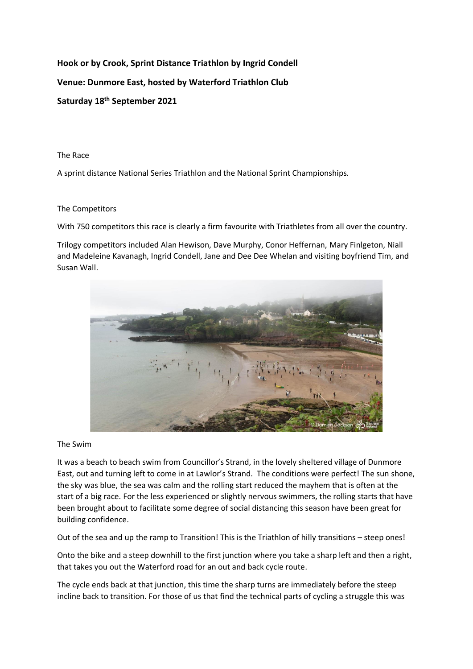## **Hook or by Crook, Sprint Distance Triathlon by Ingrid Condell Venue: Dunmore East, hosted by Waterford Triathlon Club Saturday 18th September 2021**

The Race

A sprint distance National Series Triathlon and the National Sprint Championships.

## The Competitors

With 750 competitors this race is clearly a firm favourite with Triathletes from all over the country.

Trilogy competitors included Alan Hewison, Dave Murphy, Conor Heffernan, Mary Finlgeton, Niall and Madeleine Kavanagh, Ingrid Condell, Jane and Dee Dee Whelan and visiting boyfriend Tim, and Susan Wall.



## The Swim

It was a beach to beach swim from Councillor's Strand, in the lovely sheltered village of Dunmore East, out and turning left to come in at Lawlor's Strand. The conditions were perfect! The sun shone, the sky was blue, the sea was calm and the rolling start reduced the mayhem that is often at the start of a big race. For the less experienced or slightly nervous swimmers, the rolling starts that have been brought about to facilitate some degree of social distancing this season have been great for building confidence.

Out of the sea and up the ramp to Transition! This is the Triathlon of hilly transitions – steep ones!

Onto the bike and a steep downhill to the first junction where you take a sharp left and then a right, that takes you out the Waterford road for an out and back cycle route.

The cycle ends back at that junction, this time the sharp turns are immediately before the steep incline back to transition. For those of us that find the technical parts of cycling a struggle this was